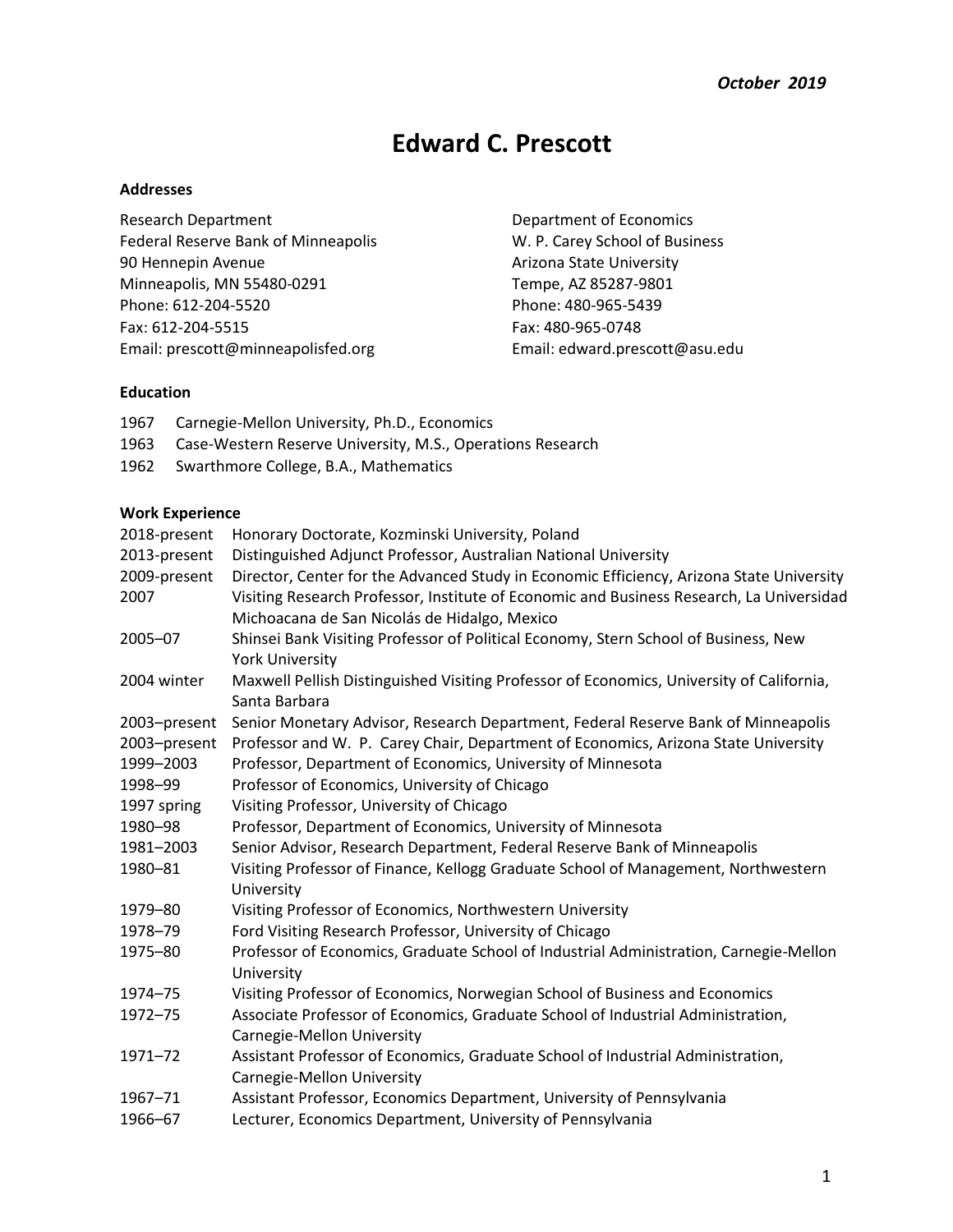# **Edward C. Prescott**

# **Addresses**

Research Department **Department** Department of Economics Federal Reserve Bank of Minneapolis W. P. Carey School of Business 90 Hennepin Avenue **Arizona State University** Minneapolis, MN 55480-0291 Tempe, AZ 85287-9801 Phone: 612-204-5520 Phone: 480-965-5439 Fax: 612-204-5515 Fax: 480-965-0748 [Email: prescott@minneapolisfed.org](mailto:prescott@minneapolisfed.org) Email: [edward.prescott@asu.edu](mailto:edward.prescott@asu.edu)

#### **Education**

| 1967         | Carnegie-Mellon University, Ph.D., Economics               |                                                                                                                                          |  |
|--------------|------------------------------------------------------------|------------------------------------------------------------------------------------------------------------------------------------------|--|
| 1963         | Case-Western Reserve University, M.S., Operations Research |                                                                                                                                          |  |
| 1962         |                                                            | Swarthmore College, B.A., Mathematics                                                                                                    |  |
|              |                                                            |                                                                                                                                          |  |
|              | <b>Work Experience</b>                                     |                                                                                                                                          |  |
|              | 2018-present                                               | Honorary Doctorate, Kozminski University, Poland                                                                                         |  |
| 2013-present |                                                            | Distinguished Adjunct Professor, Australian National University                                                                          |  |
|              | 2009-present                                               | Director, Center for the Advanced Study in Economic Efficiency, Arizona State University                                                 |  |
| 2007         |                                                            | Visiting Research Professor, Institute of Economic and Business Research, La Universidad<br>Michoacana de San Nicolás de Hidalgo, Mexico |  |
| 2005-07      |                                                            | Shinsei Bank Visiting Professor of Political Economy, Stern School of Business, New                                                      |  |
|              |                                                            | <b>York University</b>                                                                                                                   |  |
| 2004 winter  |                                                            | Maxwell Pellish Distinguished Visiting Professor of Economics, University of California,                                                 |  |
|              |                                                            | Santa Barbara                                                                                                                            |  |
| 2003-present |                                                            | Senior Monetary Advisor, Research Department, Federal Reserve Bank of Minneapolis                                                        |  |
| 2003-present |                                                            | Professor and W. P. Carey Chair, Department of Economics, Arizona State University                                                       |  |
| 1999-2003    |                                                            | Professor, Department of Economics, University of Minnesota                                                                              |  |
| 1998-99      |                                                            | Professor of Economics, University of Chicago                                                                                            |  |
| 1997 spring  |                                                            | Visiting Professor, University of Chicago                                                                                                |  |
| 1980-98      |                                                            | Professor, Department of Economics, University of Minnesota                                                                              |  |
| 1981-2003    |                                                            | Senior Advisor, Research Department, Federal Reserve Bank of Minneapolis                                                                 |  |
| 1980-81      |                                                            | Visiting Professor of Finance, Kellogg Graduate School of Management, Northwestern                                                       |  |
|              |                                                            | University                                                                                                                               |  |
| 1979-80      |                                                            | Visiting Professor of Economics, Northwestern University                                                                                 |  |
| 1978-79      |                                                            | Ford Visiting Research Professor, University of Chicago                                                                                  |  |
| 1975-80      |                                                            | Professor of Economics, Graduate School of Industrial Administration, Carnegie-Mellon                                                    |  |
|              |                                                            | University                                                                                                                               |  |
| 1974-75      |                                                            | Visiting Professor of Economics, Norwegian School of Business and Economics                                                              |  |
| 1972-75      |                                                            | Associate Professor of Economics, Graduate School of Industrial Administration,                                                          |  |
|              |                                                            | Carnegie-Mellon University                                                                                                               |  |
| 1971-72      |                                                            | Assistant Professor of Economics, Graduate School of Industrial Administration,                                                          |  |
|              |                                                            | Carnegie-Mellon University                                                                                                               |  |
| 1967-71      |                                                            | Assistant Professor, Economics Department, University of Pennsylvania                                                                    |  |
| 1966-67      |                                                            | Lecturer, Economics Department, University of Pennsylvania                                                                               |  |
|              |                                                            |                                                                                                                                          |  |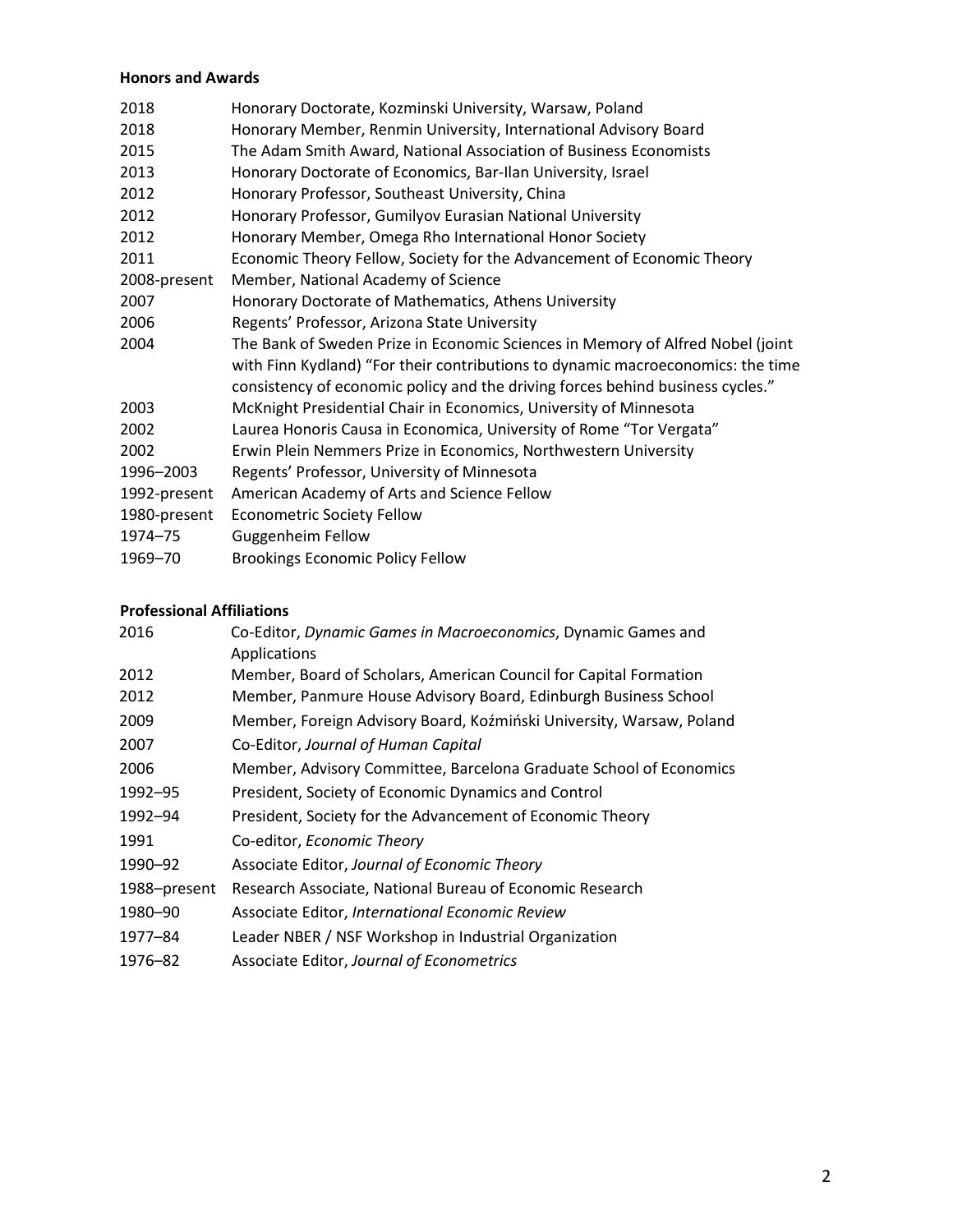# **Honors and Awards**

| 2018         | Honorary Doctorate, Kozminski University, Warsaw, Poland                        |
|--------------|---------------------------------------------------------------------------------|
| 2018         | Honorary Member, Renmin University, International Advisory Board                |
| 2015         | The Adam Smith Award, National Association of Business Economists               |
| 2013         | Honorary Doctorate of Economics, Bar-Ilan University, Israel                    |
| 2012         | Honorary Professor, Southeast University, China                                 |
| 2012         | Honorary Professor, Gumilyov Eurasian National University                       |
| 2012         | Honorary Member, Omega Rho International Honor Society                          |
| 2011         | Economic Theory Fellow, Society for the Advancement of Economic Theory          |
| 2008-present | Member, National Academy of Science                                             |
| 2007         | Honorary Doctorate of Mathematics, Athens University                            |
| 2006         | Regents' Professor, Arizona State University                                    |
| 2004         | The Bank of Sweden Prize in Economic Sciences in Memory of Alfred Nobel (joint  |
|              | with Finn Kydland) "For their contributions to dynamic macroeconomics: the time |
|              | consistency of economic policy and the driving forces behind business cycles."  |
| 2003         | McKnight Presidential Chair in Economics, University of Minnesota               |
| 2002         | Laurea Honoris Causa in Economica, University of Rome "Tor Vergata"             |
| 2002         | Erwin Plein Nemmers Prize in Economics, Northwestern University                 |
| 1996-2003    | Regents' Professor, University of Minnesota                                     |
| 1992-present | American Academy of Arts and Science Fellow                                     |
| 1980-present | <b>Econometric Society Fellow</b>                                               |
| 1974-75      | <b>Guggenheim Fellow</b>                                                        |
| 1969-70      | <b>Brookings Economic Policy Fellow</b>                                         |
|              |                                                                                 |

# **Professional Affiliations**

| 2016         | Co-Editor, Dynamic Games in Macroeconomics, Dynamic Games and<br>Applications |
|--------------|-------------------------------------------------------------------------------|
| 2012         | Member, Board of Scholars, American Council for Capital Formation             |
| 2012         | Member, Panmure House Advisory Board, Edinburgh Business School               |
| 2009         | Member, Foreign Advisory Board, Koźmiński University, Warsaw, Poland          |
| 2007         | Co-Editor, Journal of Human Capital                                           |
| 2006         | Member, Advisory Committee, Barcelona Graduate School of Economics            |
| 1992-95      | President, Society of Economic Dynamics and Control                           |
| 1992-94      | President, Society for the Advancement of Economic Theory                     |
| 1991         | Co-editor, Economic Theory                                                    |
| 1990-92      | Associate Editor, Journal of Economic Theory                                  |
| 1988-present | Research Associate, National Bureau of Economic Research                      |
| 1980-90      | Associate Editor, International Economic Review                               |
| 1977-84      | Leader NBER / NSF Workshop in Industrial Organization                         |
| 1976-82      | Associate Editor, Journal of Econometrics                                     |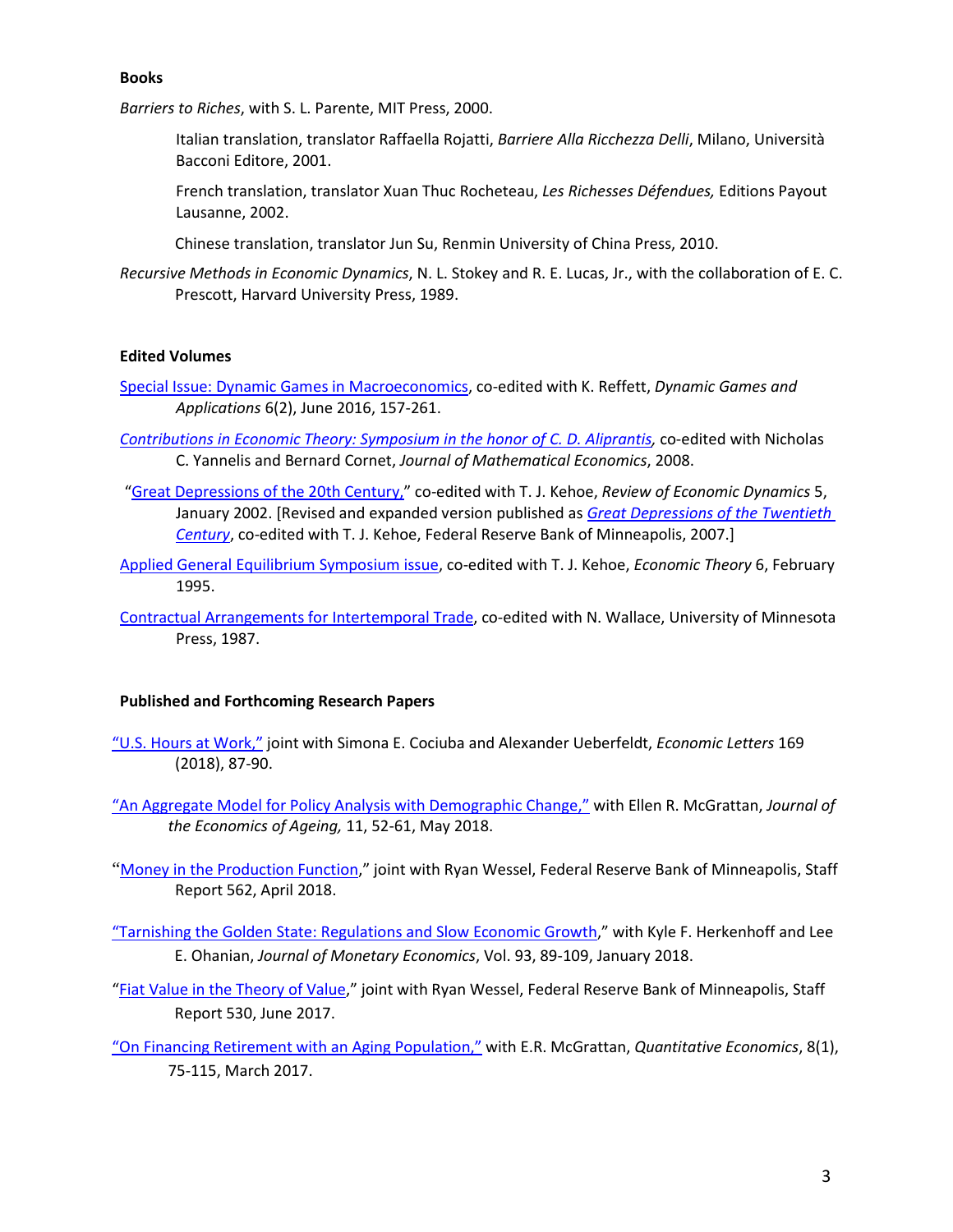#### **Books**

*Barriers to Riches*, with S. L. Parente, MIT Press, 2000.

- Italian translation, translator Raffaella Rojatti, *Barriere Alla Ricchezza Delli*, Milano, Università Bacconi Editore, 2001.
- French translation, translator Xuan Thuc Rocheteau, *Les Richesses Défendues,* Editions Payout Lausanne, 2002.
- Chinese translation, translator Jun Su, Renmin University of China Press, 2010.
- *Recursive Methods in Economic Dynamics*, N. L. Stokey and R. E. Lucas, Jr., with the collaboration of E. C. Prescott, Harvard University Press, 1989.

# **Edited Volumes**

- [Special Issue: Dynamic Games in Macroeconomics,](http://link.springer.com/journal/13235/6/2/page/1) co-edited with K. Reffett, *Dynamic Games and Applications* 6(2), June 2016, 157-261.
- *[Contributions in Economic Theory: Symposium in the honor of C. D. Aliprantis,](http://casee.asu.edu/upload/Prescott/2008-Yannelis%2C%20Cornet-%20JME-%20Contributions%20in%20Economic%20Theory%20Symposium%20in%20the%20honor%20of%20CD%20Aliprantis.pdf)* co-edited with Nicholas C. Yannelis and Bernard Cornet, *Journal of Mathematical Economics*, 2008.
- "Great Depressions [of the 20th Century,"](http://casee.asu.edu/upload/Prescott/2002-Kehoe-RED-Introduction%20Great%20Depressions%20of%20the%2020th%20Century.pdf) co-edited with T. J. Kehoe, *Review of Economic Dynamics* 5, January 2002. [Revised and expanded version published as *[Great](http://www.greatdepressionsbook.com/index.cfm) [Depressions of the Twentieth](http://www.greatdepressionsbook.com/index.cfm)  [Century](http://www.greatdepressionsbook.com/index.cfm)*, co-edited with T. J. Kehoe, Federal Reserve Bank of Minneapolis, 2007.]
- [Applied General Equilibrium Symposium issue,](http://link.springer.com/article/10.1007%2FBF01213938?LI=true) co-edited with T. J. Kehoe, *Economic Theory* 6, February 1995.
- [Contractual Arrangements for Intertemporal Trade,](http://www.upress.umn.edu/book-division/books/contractual-arrangements-for-intertemporal-trade) co-edited with N. Wallace, University of Minnesota Press, 1987.

## **Published and Forthcoming Research Papers**

- ["U.S. Hours at Work,"](https://casee.asu.edu/upload/US_Hours_at_Work.pdf) joint with Simona E. Cociuba and Alexander Ueberfeldt, *Economic Letters* 169 (2018), 87-90.
- ["An Aggregate Model for Policy Analysis with Demographic Change,"](https://www.sciencedirect.com/science/article/pii/S2212828X16300597) with Ellen R. McGrattan, *Journal of the Economics of Ageing,* 11, 52-61, May 2018.
- "[Money in the Production Function,](https://minneapolisfed.org/research/staff-reports/money-in-the-production-function)" joint with Ryan Wessel, Federal Reserve Bank of Minneapolis, Staff Report 562, April 2018.
- ["Tarnishing the Golden State: Regulations and Slow Economic Growth,](https://www.sciencedirect.com/science/article/pii/S0304393217301265)" with Kyle F. Herkenhoff and Lee E. Ohanian, *Journal of Monetary Economics*, Vol. 93, 89-109, January 2018.
- ["Fiat Value in the Theory of Value,](https://www.minneapolisfed.org/research/staff-reports/fiat-value-in-the-theory-of-value)" joint with Ryan Wessel, Federal Reserve Bank of Minneapolis, Staff Report 530, June 2017.
- ["On Financing Retirement with an Aging Population,"](http://onlinelibrary.wiley.com/doi/10.3982/QE648/epdf) with E.R. McGrattan, *Quantitative Economics*, 8(1), 75-115, March 2017.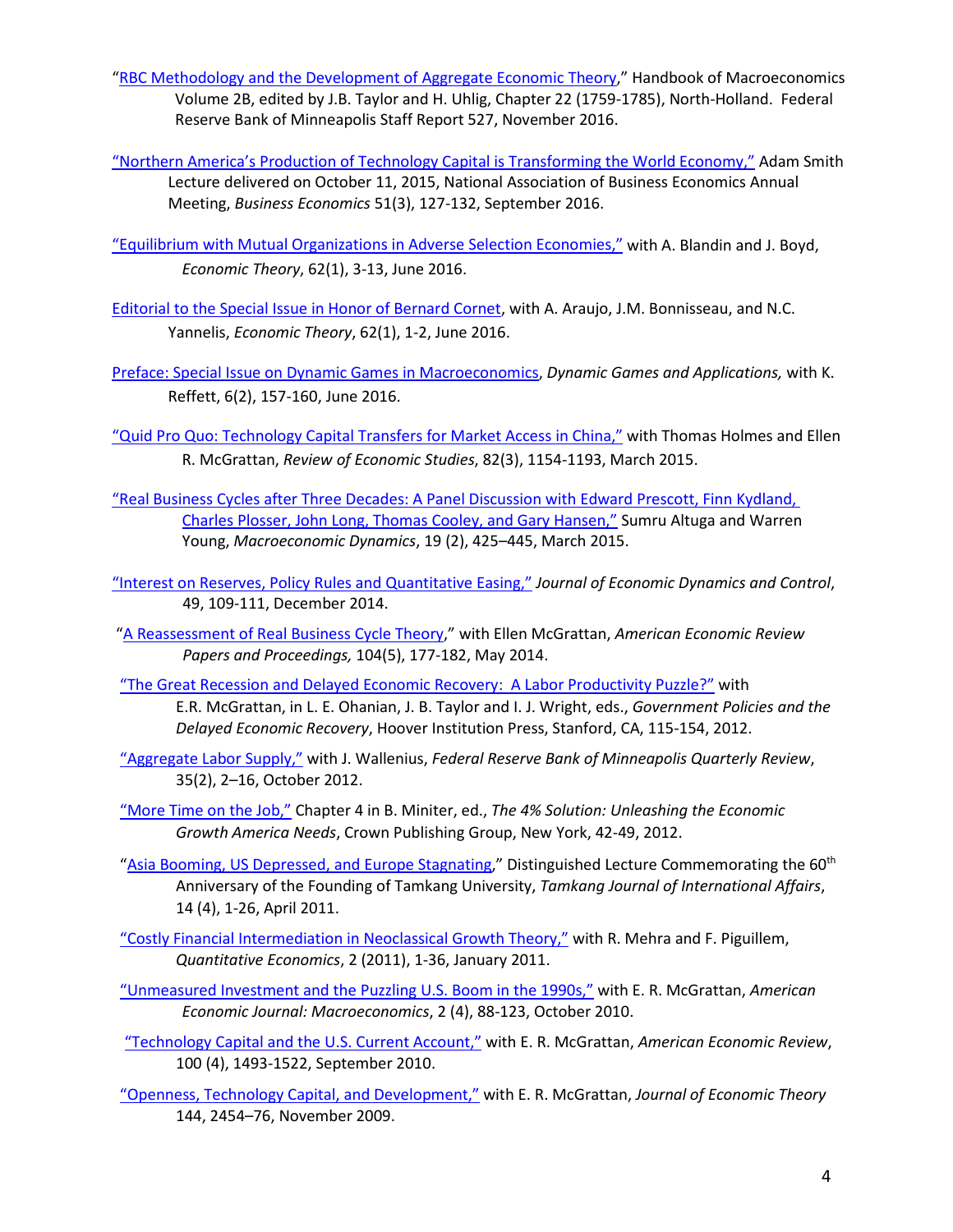- ["RBC Methodology and the Development of Aggregate Economic Theory,](https://www.minneapolisfed.org/research/staff-reports/rbc-methodology-and-the-development-of-aggregate-economic-theory)" Handbook of Macroeconomics Volume 2B, edited by J.B. Taylor and H. Uhlig, Chapter 22 (1759-1785), North-Holland. Federal Reserve Bank of Minneapolis Staff Report 527, November 2016.
- ["Northern America's Production of Technology Capital is Transforming the World Economy,"](https://urldefense.proofpoint.com/v2/url?u=http-3A__link.springer.com_article_10.1057_s11369-2D016-2D0011-2D3&d=DwMFAg&c=l45AxH-kUV29SRQusp9vYR0n1GycN4_2jInuKy6zbqQ&r=bs0zUn2TX5qOnsjFgBK67C4oEDHkW0Sviyn5FOb-AEM&m=slUUwvRVwaRzqGDMiy-j30YF3s1n7FP7HksuOIU8pKM&s=8Hk7FvrYc4J-99EUx64kw3Um3rxHDt9Y_uE6D6ofxIU&e=) Adam Smith Lecture delivered on October 11, 2015, National Association of Business Economics Annual Meeting, *Business Economics* 51(3), 127-132, September 2016.
- ["Equilibrium with Mutual Organizations in Adverse Selection Economies,"](http://link.springer.com/article/10.1007/s00199-015-0918-3) with A. Blandin and J. Boyd, *Economic Theory*, 62(1), 3-13, June 2016.
- [Editorial to the Special Issue in Honor of Bernard Cornet,](http://link.springer.com/article/10.1007/s00199-016-0982-3) with A. Araujo, J.M. Bonnisseau, and N.C. Yannelis, *Economic Theory*, 62(1), 1-2, June 2016.
- [Preface: Special Issue on Dynamic Games in Macroeconomics,](http://link.springer.com/article/10.1007%2Fs13235-015-0180-0) *Dynamic Games and Applications,* with K. Reffett, 6(2), 157-160, June 2016.
- ["Quid Pro Quo: Technology Capital Transfers for Market Access in China,"](http://restud.oxfordjournals.org/content/82/3/1154.full.pdf+html) with Thomas Holmes and Ellen R. McGrattan, *Review of Economic Studies*, 82(3), 1154-1193, March 2015.
- ["Real Business Cycles after Three Decades: A Panel Discussion with Edward Prescott, Finn Kydland,](http://journals.cambridge.org/action/displayAbstract?fromPage=online&aid=9603748&fileId=S1365100513000424)  [Charles Plosser, John Long, Thomas Cooley, and Gary Hansen,"](http://journals.cambridge.org/action/displayAbstract?fromPage=online&aid=9603748&fileId=S1365100513000424) Sumru Altuga and Warren Young, *Macroeconomic Dynamics*, 19 (2), 425–445, March 2015.
- ["Interest on Reserves, Policy Rules and Quantitative Easing,"](http://www.sciencedirect.com/science/article/pii/S0165188914002255) *Journal of Economic Dynamics and Control*, 49, 109-111, December 2014.
- ["A Reassessment of Real Business Cycle Theory,](https://www.minneapolisfed.org/publications_papers/pub_display.cfm?id=5244&)" with Ellen McGrattan, *American Economic Review Papers and Proceedings,* 104(5), 177-182, May 2014.
- "The [Great Recession and Delayed Economic Recovery: A Labor Productivity Puzzle?"](http://casee.asu.edu/upload/Prescott/2012-McGrattan-GPDER-The%20Great%20Recession%20and%20Delayed%20Economic%20Recovery%20A%20Labor%20Productivity%20Puzzle.pdf) with E.R. McGrattan, in L. E. Ohanian, J. B. Taylor and I. J. Wright, eds., *Government Policies and the Delayed Economic Recovery*, Hoover Institution Press, Stanford, CA, 115-154, 2012.
- ["Aggregate Labor Supply,"](http://casee.asu.edu/upload/Prescott/2012%20-Wallenius-FRBMQ-Aggregate%20Labor%20Supply.pdf) with J. Wallenius, *Federal Reserve Bank of Minneapolis Quarterly Review*, 35(2), 2–16, October 2012.
- ["More Time on the Job,"](http://casee.asu.edu/upload/Prescott/2012-4%25%20Solution%20book%20chapter-More%20Time%20on%20the%20Job.pdf) Chapter 4 in B. Miniter, ed., *The 4% Solution: Unleashing the Economic Growth America Needs*, Crown Publishing Group, New York, 42-49, 2012.
- ["Asia Booming, US Depressed, and Europe Stagnating,](http://www.airitilibrary.com/Publication/alDetailedMesh?DocID=10274979-201104-201201310032-201201310032-2-27)" Distinguished Lecture Commemorating the 60<sup>th</sup> Anniversary of the Founding of Tamkang University, *Tamkang Journal of International Affairs*, 14 (4), 1-26, April 2011.
- ["Costly Financial Intermediation in Neoclassical Growth Theory,"](http://casee.asu.edu/upload/Prescott/2011-Mehra%2C%20Piguillem-QE-Costly%20Financial%20Intermediation%20in%20Neoclassical%20Growth%20Theory.pdf) with R. Mehra and F. Piguillem, *Quantitative Economics*, 2 (2011), 1-36, January 2011.
- ["Unmeasured Investment and the Puzzling U.S. Boom in the 1990s,"](http://casee.asu.edu/upload/Prescott/2010-McGrattan%2C%20Prescott-AEA-Unmeasured%20Investment%20and%20the%20Puzzling%20US%20Boom%20in%20the%201990s.pdf) with E. R. McGrattan, *American Economic Journal: Macroeconomics*, 2 (4), 88-123, October 2010.
- ["Technology Capital and the U.S. Current Account,"](http://casee.asu.edu/upload/Prescott/2010-McGrattan-AER-Technology%20Capital%20and%20the%20US%20Current%20Account.pdf) with E. R. McGrattan, *American Economic Review*, 100 (4), 1493-1522, September 2010.
- ["Openness, Technology Capital, and Development,"](http://www.sciencedirect.com/science/article/pii/S0022053108001385) with E. R. McGrattan, *Journal of Economic Theory*  144, 2454–76, November 2009.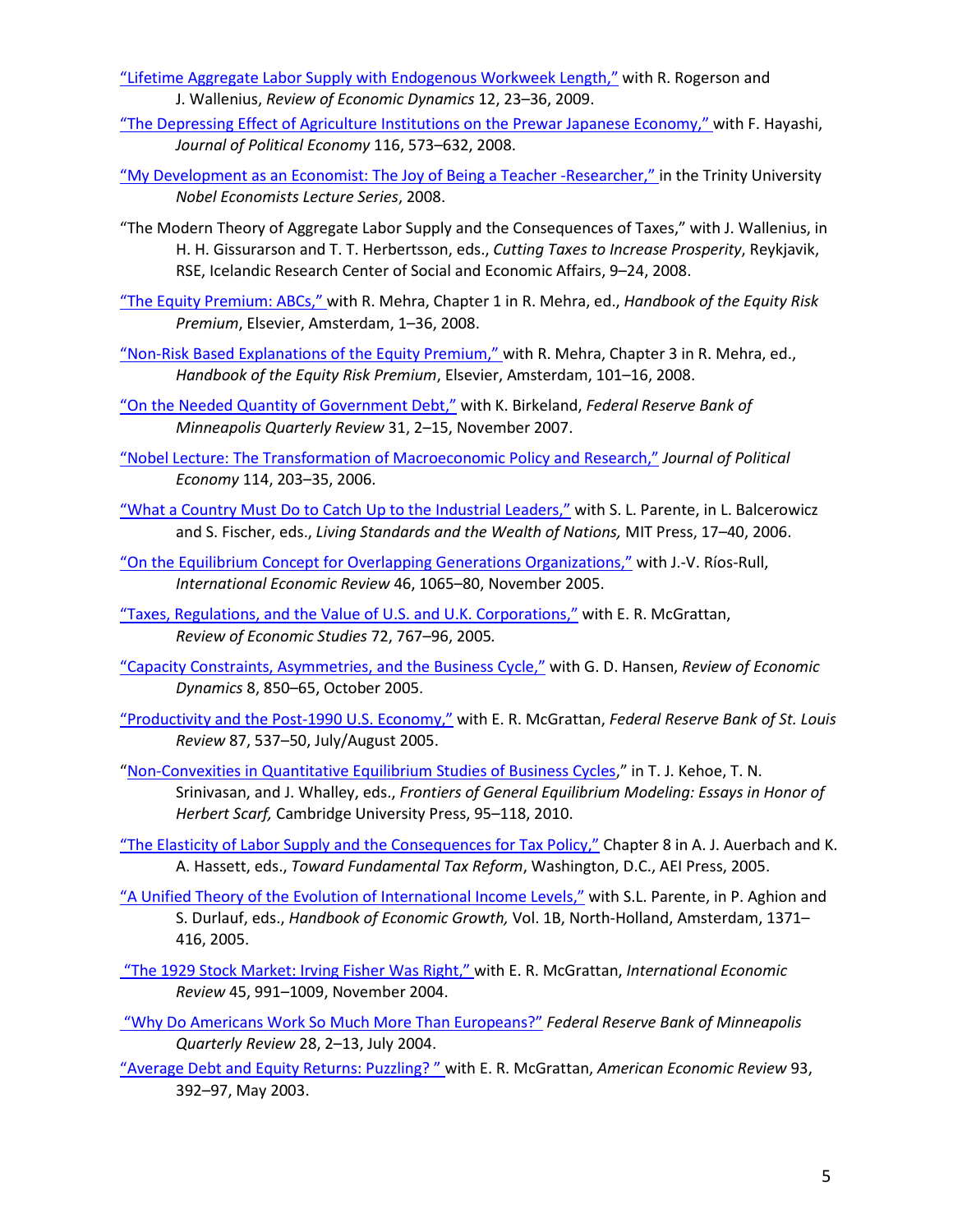- ["Lifetime Aggregate Labor Supply with Endogenous Workweek Length,"](http://casee.asu.edu/upload/Prescott/2009-Rogerson%2C%20Wallenius-RED-Lifetime%20Aggregate%20Labor%20Supply%20Endogenous%20Workweek%20length.pdf) with R. Rogerson and J. Wallenius, *Review of Economic Dynamics* 12, 23–36, 2009.
- ["The Depressing Effect of Agriculture Institutions on the Prewar Japanese Economy," w](http://casee.asu.edu/upload/Prescott/2008-Hayashi-JPE-Depressing%20Effect%20Agriculture%20Prewar%20Japanese.pdf)ith F. Hayashi, *Journal of Political Economy* 116, 573–632, 2008.
- ["My Development as an Economist: The Joy of Being a Teacher -Researcher,"](http://casee.asu.edu/upload/Prescott/2008-My%20Development%20as%20an%20Economist%20%20The%20Joy%20of%20Being%20a%20Teacher%20Researcher.pdf) in the Trinity University *Nobel Economists Lecture Series*, 2008.
- "The Modern Theory of Aggregate Labor Supply and the Consequences of Taxes," with J. Wallenius, in H. H. Gissurarson and T. T. Herbertsson, eds., *Cutting Taxes to Increase Prosperity*, Reykjavik, RSE, Icelandic Research Center of Social and Economic Affairs, 9–24, 2008.
- ["The Equity Premium: ABCs," w](http://casee.asu.edu/upload/Prescott/2008-Mehra-HERP-The%20Equity%20Premium%20ABCs.pdf)ith R. Mehra, Chapter 1 in R. Mehra, ed., *Handbook of the Equity Risk Premium*, Elsevier, Amsterdam, 1–36, 2008.
- ["Non-Risk Based Explanations of the Equity Premium," w](http://casee.asu.edu/upload/Prescott/2008-Mehra-HERP-Non-Risk%20Based%20Explanations%20Equity%20Premium.pdf)ith R. Mehra, Chapter 3 in R. Mehra, ed., *Handbook of the Equity Risk Premium*, Elsevier, Amsterdam, 101–16, 2008.
- ["On the Needed Quantity of Government Debt,"](http://casee.asu.edu/upload/Prescott/2007-Birkeland%20-%20FRBMQR-%20On%20Needed%20Quantity%20of%20Government%20Debt.pdf) with K. Birkeland, *Federal Reserve Bank of Minneapolis Quarterly Review* 31, 2–15, November 2007.
- ["Nobel Lecture: The Transformation of Macroeconomic Policy and Research,"](http://casee.asu.edu/upload/Prescott/2006-JPE-Nobel%20Lecture%20The%20Transformation%20of%20Macroeconomic%20Policy%20Research.pdf) *Journal of Political Economy* 114, 203–35, 2006.
- "What [a Country Must Do to Catch Up to the Industrial Leaders,"](http://casee.asu.edu/upload/Prescott/2006-Parente-LSWN-What%20a%20Country%20Must%20Do%20to%20Catch%20Up%20to%20the%20Industrial%20Leaders.pdf) with S. L. Parente, in L. Balcerowicz and S. Fischer, eds., *Living Standards and the Wealth of Nations,* MIT Press, 17–40, 2006.
- ["On the Equilibrium Concept for Overlapping Generations Organizations,"](http://casee.asu.edu/upload/Prescott/2005-Rios-Rull-IER-Equilibrium%20Concept%20Overlapping%20Generations.pdf) with J.-V. Ríos-Rull, *International Economic Review* 46, 1065–80, November 2005.
- ["Taxes, Regulations, and the Value of U.S. and U.K. Corporations,"](http://casee.asu.edu/upload/Prescott/2005-McGrattan-RES-Taxes%20Regulations%20Value%20of%20US%20UK%20Corp.pdf) with E. R. McGrattan, *Review of Economic Studies* 72, 767–96, 2005*.*
- ["Capacity Constraints, Asymmetries, and the Business Cycle,"](http://casee.asu.edu/upload/Prescott/2005-Hansen-RED-Capacity%20Constraints%20Asymmetries%20and%20Business%20Cycle.pdf) with G. D. Hansen, *Review of Economic Dynamics* 8, 850–65, October 2005.
- ["Productivity and the Post-1990 U.S. Economy,"](http://casee.asu.edu/upload/Prescott/2005-McGrattan-FRBSLR-Productivity%20and%20the%20Post-1990%20US%20Economy.pdf) with E. R. McGrattan, *Federal Reserve Bank of St. Louis Review* 87, 537–50, July/August 2005.
- ["Non-Convexities in Quantitative Equilibrium Studies of Business Cycles,](https://www.minneapolisfed.org/research/staff-reports/nonconvexities-in-quantitative-general-equilibrium-studies-of-business-cycles)" in T. J. Kehoe, T. N. Srinivasan, and J. Whalley, eds., *Frontiers of General Equilibrium Modeling: Essays in Honor of Herbert Scarf,* Cambridge University Press, 95–118, 2010.
- ["The Elasticity of Labor Supply and the Consequences for Tax Policy,"](http://casee.asu.edu/upload/Prescott/2005-TFT-The%20Elasticity%20of%20Labor%20Supply%20and%20the%20Consequences%20for%20Tax%20Policy.pdf) Chapter 8 in A. J. Auerbach and K. A. Hassett, eds., *Toward Fundamental Tax Reform*, Washington, D.C., AEI Press, 2005.
- ["A Unified Theory of the Evolution of International Income Levels,"](http://casee.asu.edu/upload/Prescott/2005-Parente-HEG-A%20Unified%20Theory%20of%20the%20Evolution%20of%20International%20Income%20Levels.pdf) with S.L. Parente, in P. Aghion and S. Durlauf, eds., *Handbook of Economic Growth,* Vol. 1B, North-Holland, Amsterdam, 1371– 416, 2005.
- ["The 1929 Stock Market: Irving Fisher Was Right," w](http://casee.asu.edu/upload/Prescott/2004-McGrattan-IER-1929%20Stock%20Market%20Irving%20Fisher%20was%20Right.pdf)ith E. R. McGrattan, *International Economic Review* 45, 991–1009, November 2004.
- ["Why Do Americans Work So Much More Than Europeans?"](http://casee.asu.edu/upload/Prescott/2004-FRBMQR-Why%20do%20Americans%20Work%20So%20Much%20More%20than%20Europeans.pdf) *Federal Reserve Bank of Minneapolis Quarterly Review* 28, 2–13, July 2004.
- ["Average Debt and Equity Returns: Puzzling? " w](http://casee.asu.edu/upload/Prescott/2003-McGrattan-AER-Average%20Debt%20and%20Equity%20Returns%20Puzzling.pdf)ith E. R. McGrattan, *American Economic Review* 93, 392–97, May 2003.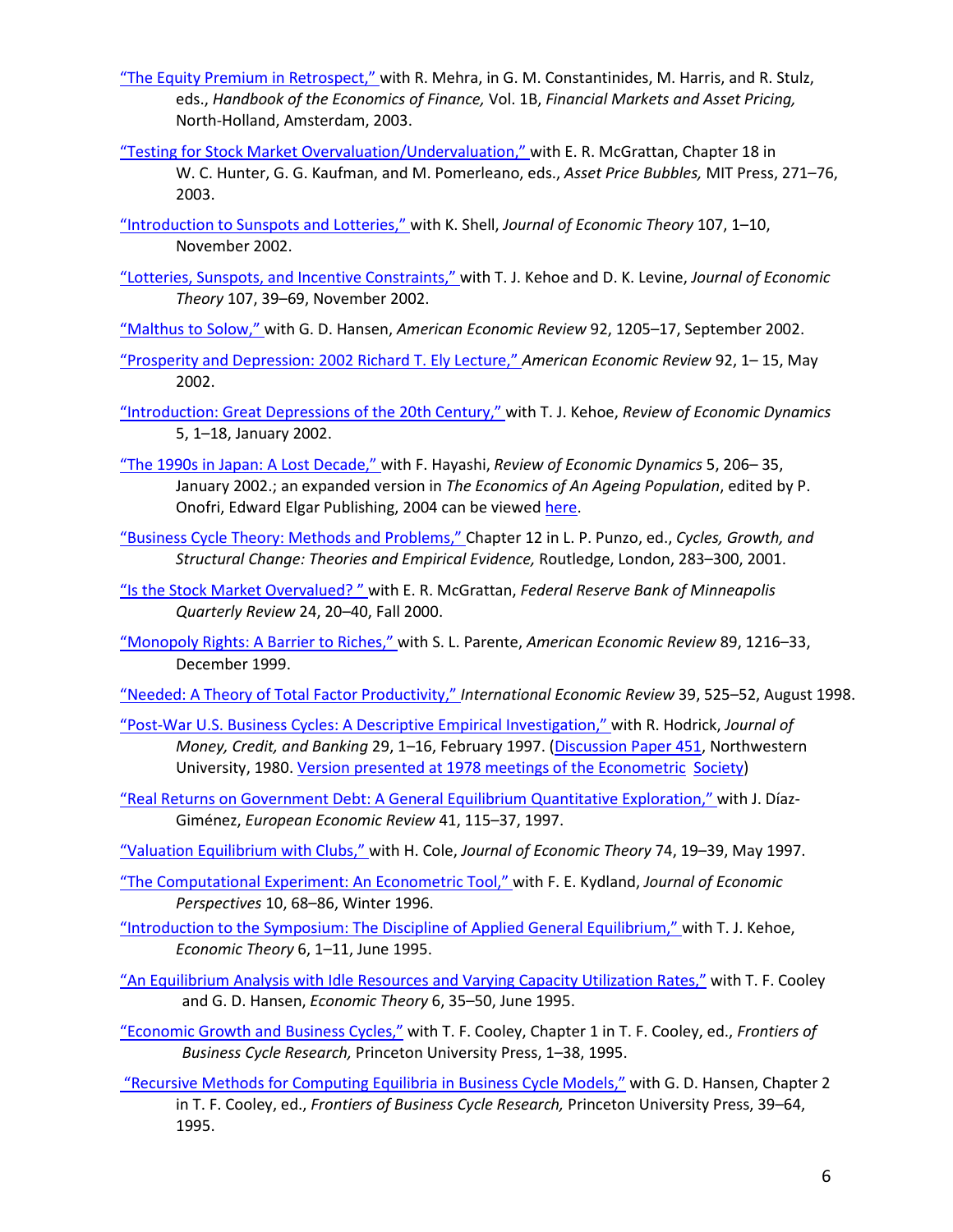- ["The Equity Premium in Retrospect," w](http://casee.asu.edu/upload/Prescott/2003-Mehra-HEF-The%20Equity%20Premium%20in%20Retrospect.pdf)ith R. Mehra, in G. M. Constantinides, M. Harris, and R. Stulz, eds., *Handbook of the Economics of Finance,* Vol. 1B, *Financial Markets and Asset Pricing,*  North-Holland, Amsterdam, 2003.
- ["Testing for Stock Market Overvaluation/Undervaluation," w](http://casee.asu.edu/upload/Prescott/2003-McGrattan-MIT-Testing%20for%20Stock%20Market%20Overvaluation%20Undervaluation%20COPYWRIGHT.pdf)ith E. R. McGrattan, Chapter 18 in W. C. Hunter, G. G. Kaufman, and M. Pomerleano, eds., *Asset Price Bubbles,* MIT Press, 271–76, 2003.
- ["Introduction to Sunspots and Lotteries," w](http://casee.asu.edu/upload/Prescott/2002-Shell-JET-Introduction%20to%20Sunspots%20and%20Lotteries.pdf)ith K. Shell, *Journal of Economic Theory* 107, 1–10, November 2002.
- ["Lotteries, Sunspots, and Incentive Constraints," w](http://casee.asu.edu/upload/Prescott/2002-Kehoe%2C%20Levine-JET-Lotteries%20Sunspots%20Incentive%20Constraints.pdf)ith T. J. Kehoe and D. K. Levine, *Journal of Economic Theory* 107, 39–69, November 2002.
- ["Malthus to Solow,"](http://casee.asu.edu/upload/Prescott/2002-Hansen-AER-Malthus%20to%20Solow.pdf) with G. D. Hansen, *American Economic Review* 92, 1205–17, September 2002.
- ["Prosperity and Depression: 2002 Richard T. Ely Lecture,"](http://casee.asu.edu/upload/Prescott/2002-AER-Prosperity%20and%20Depressions.pdf) *American Economic Review* 92, 1– 15, May 2002.
- ["Introduction: Great Depressions of the 20th Century," w](http://casee.asu.edu/upload/Prescott/2002-Kehoe-RED-Introduction%20Great%20Depressions%20of%20the%2020th%20Century.pdf)ith T. J. Kehoe, *Review of Economic Dynamics*  5, 1–18, January 2002.
- ["The 1990s in Japan: A Lost Decade," w](http://casee.asu.edu/upload/Prescott/2002-Hayashi-RED-The%201990s%20in%20Japan%20A%20Lost%20Decade.pdf)ith F. Hayashi, *Review of Economic Dynamics* 5, 206– 35, January 2002.; an expanded version in *The Economics of An Ageing Population*, edited by P. Onofri, Edward Elgar Publishing, 2004 can be viewed [here.](http://casee.wpcarey.asu.edu/upload/Prescott/2004-Hayashi-%20EAP-%20The%201990s%20in%20Japan%20A%20lost%20decade.pdf)
- ["Business Cycle Theory: Methods and Problems," C](http://casee.asu.edu/upload/Prescott/2001-CGSCTEE-%20Business%20Cycle%20Theory%20Methods%20and%20Problems.pdf)hapter 12 in L. P. Punzo, ed., *Cycles, Growth, and Structural Change: Theories and Empirical Evidence,* Routledge, London, 283–300, 2001.
- ["Is the Stock Market Overvalued? " w](http://casee.asu.edu/upload/Prescott/2000-McGrattan-FRBMQR-Is%20Stock%20Market%20Overvalued.pdf)ith E. R. McGrattan, *Federal Reserve Bank of Minneapolis Quarterly Review* 24, 20–40, Fall 2000.
- ["Monopoly Rights: A Barrier to Riches," w](http://casee.asu.edu/upload/Prescott/1999-Parente-AER-Monopoly%20Rights%20A%20Barrier%20Riches.pdf)ith S. L. Parente, *American Economic Review* 89, 1216–33, December 1999.
- ["Needed: A Theory of Total Factor Productivity,"](http://casee.asu.edu/upload/Prescott/1998-IER-Needed%20Theory%20of%20Total%20Factor%20Productivity.pdf) *International Economic Review* 39, 525–52, August 1998.
- ["Post-War U.S. Business Cycles: A Descriptive Empirical Investigation," w](http://casee.asu.edu/upload/Prescott/1997-Hodrick-JMCB-Post%20War%20US%20Business%20Cycles%20A%20Descriptive%20Empirical%20Investigation.pdf)ith R. Hodrick, *Journal of Money, Credit, and Banking* 29, 1–16, February 1997. [\(Discussion Paper 451,](http://casee.asu.edu/upload/Prescott/1980-Hodrick%20-%20PostWar%20US%20Business%20Cycles%20An%20Empirical%20Investigation%20-DP451.pdf) Northwestern University, 1980. [Version presented at 1978 meetings of the Econometric Society\)](http://casee.asu.edu/upload/Prescott/1978-Hodrick-Post-War%20US%20Business%20Cycles%20A%20Descriptive%20Empirical%20Investigation.pdf)
- ["Real Returns on Government Debt: A General Equilibrium Quantitative Exploration,"](http://casee.asu.edu/upload/Prescott/1997-Diaz%20Gimenez-EER-Real%20Returns%20on%20Government%20Debt%20A%20general%20equilibrium%20quantitative%20exploration.pdf) with J. Díaz-Giménez, *European Economic Review* 41, 115–37, 1997.

["Valuation Equilibrium with Clubs," w](http://casee.asu.edu/upload/Prescott/1997-Cole-JET-Valuation%20Equilibrium%20with%20Clubs.pdf)ith H. Cole, *Journal of Economic Theory* 74, 19–39, May 1997.

- ["The Computational Experiment: An](http://casee.asu.edu/upload/Prescott/1996-Kydland-JEP-Computational%20Experiment%2C%20Econometric%20Tool.pdf) Econometric Tool," with F. E. Kydland, *Journal of Economic Perspectives* 10, 68–86, Winter 1996.
- ["Introduction to the Symposium: The Discipline of Applied General Equilibrium," w](http://casee.asu.edu/upload/Prescott/1995-Kehoe-ET-Introduction%20to%20Symposium%20The%20Discipline%20of%20Applied%20General%20Equilibrium.pdf)ith T. J. Kehoe, *Economic Theory* 6, 1–11, June 1995.
- ["An Equilibrium Analysis with Idle Resources and Varying Capacity Utilization Rates,"](http://casee.asu.edu/upload/Prescott/1995-Cooley%2C%20Hansen%20-%20ET%20-%20An%20Equilibrium%20Analysis%20with%20Idle%20Resources%20and%20Varying%20Capacity%20Utilization%20Rates.pdf) with T. F. Cooley and G. D. Hansen, *Economic Theory* 6, 35–50, June 1995.
- ["Economic Growth and Business Cycles,"](http://casee.asu.edu/upload/Prescott/1995-Cooley-FBCR-Economic%20Growth%20and%20Business%20Cycles.pdf) with T. F. Cooley, Chapter 1 in T. F. Cooley, ed., *Frontiers of Business Cycle Research,* Princeton University Press, 1–38, 1995.
- ["Recursive Methods for Computing Equilibria in Business Cycle Models,"](http://casee.asu.edu/upload/Prescott/1995-Hansen%2C%20Cooley-FBCR-Recursive%20Methods%20for%20Computing%20Equilibria%20in%20Business%20Cycle%20Models.pdf) with G. D. Hansen, Chapter 2 in T. F. Cooley, ed., *Frontiers of Business Cycle Research,* Princeton University Press, 39–64, 1995.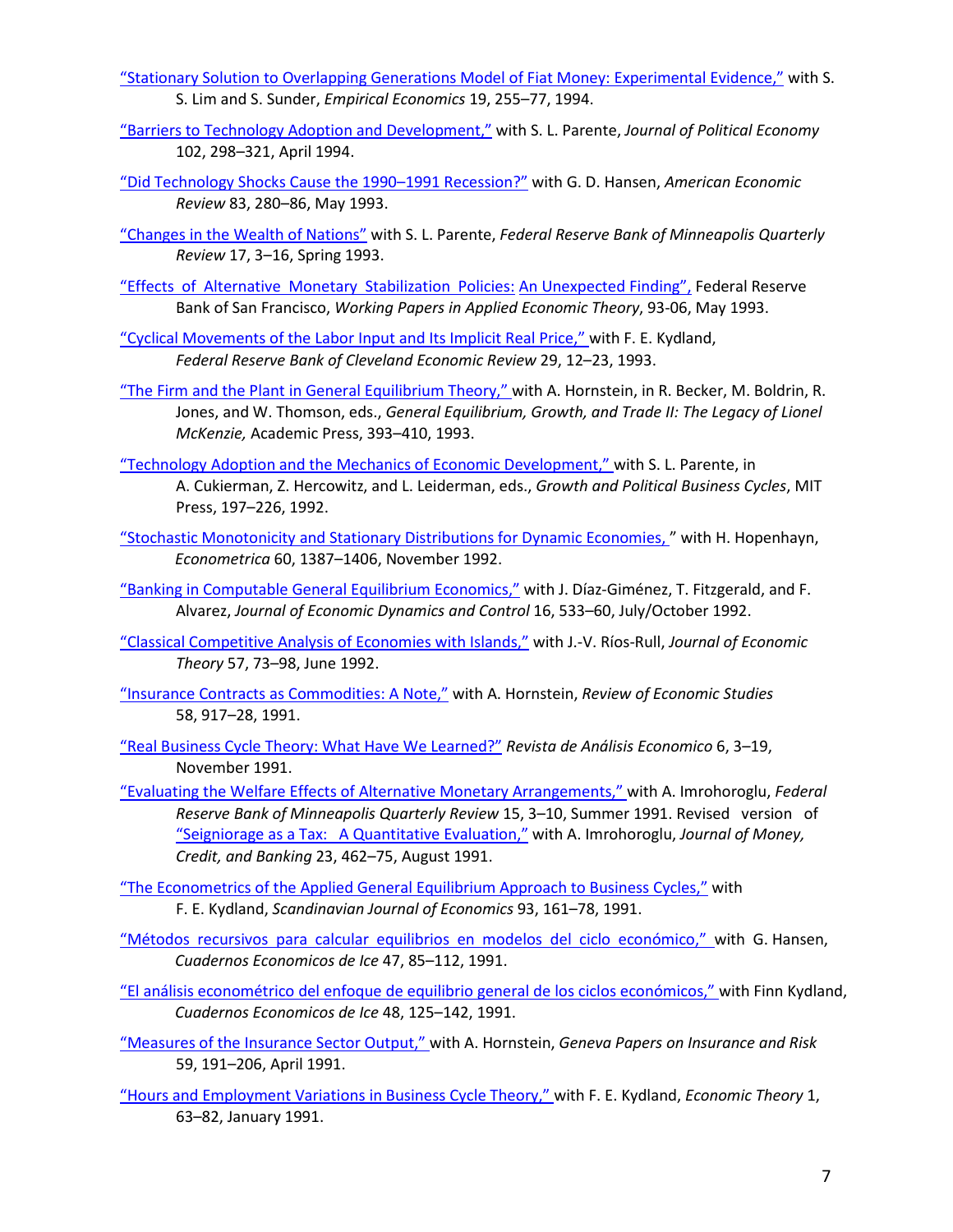- ["Stationary Solution to Overlapping Generations Model of Fiat Money: Experimental Evidence,"](http://casee.asu.edu/upload/Prescott/1994-Lim%20Sunder-EE-Stationary%20Solution%20Overlapping%20Generations%20Model%20Fiat%20Money%20Experimental%20Evidence.pdf) with S. S. Lim and S. Sunder, *Empirical Economics* 19, 255–77, 1994.
- ["Barriers to Technology Adoption and Development,"](http://casee.asu.edu/upload/Prescott/1994-Parente-JPE-Barriers%20to%20Technology%20Adoption%20and%20Development.pdf) with S. L. Parente, *Journal of Political Economy*  102, 298–321, April 1994.
- "Did Technology Shocks [Cause the 1990–1991 Recession?"](http://casee.asu.edu/upload/Prescott/1993-Hansen-AER-Did%20Technology%20Shocks%20Cause%20the%201990-1991%20Recession.pdf) with G. D. Hansen, *American Economic Review* 83, 280–86, May 1993.
- ["Changes in the Wealth of Nations"](http://casee.asu.edu/upload/Prescott/1993-Parente-FRBMQR-Changes%20in%20the%20Wealth%20of%20Nations.pdf) with S. L. Parente, *Federal Reserve Bank of Minneapolis Quarterly Review* 17, 3–16, Spring 1993.
- ["Effects of Alternative Monetary Stabilization Policies:](http://casee.asu.edu/upload/Prescott/1993%20-%20Prescott%20-%20Effect%20of%20Monetary%20Policies%20An%20Unexpected%20Finding%20CONFERENCE%20PAPER.pdf) An Unexpected Finding", Federal Reserve Bank of San Francisco, *Working Papers in Applied Economic Theory*, 93-06, May 1993.
- ["Cyclical Movements of the Labor Input and Its Implicit Real Price," w](http://casee.asu.edu/upload/Prescott/1993-Kydland-FRBCER-Cyclical%20Movements%20of%20the%20Labor%20Input%20and%20Its%20Implicit%20Real%20Wage.pdf)ith F. E. Kydland, *Federal Reserve Bank of Cleveland Economic Review* 29, 12–23, 1993.
- ["The Firm and the Plant in General Equilibrium Theory," w](http://casee.asu.edu/upload/Prescott/1993-Hornstein-GEGRII-The%20Firm%20and%20the%20Plant%20in%20General%20Equilibrium%20Theory.pdf)ith A. Hornstein, in R. Becker, M. Boldrin, R. Jones, and W. Thomson, eds., *General Equilibrium, Growth, and Trade II: The Legacy of Lionel McKenzie,* Academic Press, 393–410, 1993.
- ["Technology Adoption and the Mechanics of Economic Development," w](http://casee.asu.edu/upload/Prescott/1992-Parente%2C%20Prescott-PEGBC-Technology%20Adoption%20and%20the%20Mechanics%20of%20Economic%20Development.pdf)ith S. L. Parente, in A. Cukierman, Z. Hercowitz, and L. Leiderman, eds., *Growth and Political Business Cycles*, MIT Press, 197–226, 1992.
- ["Stochastic Monotonicity and Stationary Distributions for Dynamic Economies, "](http://casee.asu.edu/upload/Prescott/1992-Hopenhayn-ECONOMETRICA-Stochastic%20Monotonicity%20and%20Stationary%20Distributions%20for%20Dynamic%20Economies.pdf) with H. Hopenhayn, *Econometrica* 60, 1387–1406, November 1992.
- ["Banking in Computable General Equilibrium Economics,"](http://casee.asu.edu/upload/Prescott/1992-Diaz%20Gimenez%2C%20Fitzgerald%2C%20Alvarez-JEDC-Banking%20in%20Computable%20General%20Equilibrium%20Economics.pdf) with J. Díaz-Giménez, T. Fitzgerald, and F. Alvarez, *Journal of Economic Dynamics and Control* 16, 533–60, July/October 1992.
- ["Classical Competitive Analysis of Economies with Islands,"](http://casee.asu.edu/upload/Prescott/1992-Rios-Rull-JET-Classical%20Competitive%20Analysis%20of%20Economies%20with%20Islands.pdf) with J.-V. Ríos-Rull, *Journal of Economic Theory* 57, 73–98, June 1992.
- ["Insurance Contracts as Commodities: A Note,"](http://casee.asu.edu/upload/Prescott/1991-Hornstein-RES-Insurance%20Contracts%20as%20Commodities.pdf) with A. Hornstein, *Review of Economic Studies* 58, 917–28, 1991.
- ["Real Business Cycle Theory: What Have We Learned?"](http://casee.asu.edu/upload/Prescott/1991-RAE-Real%20Business%20Cycle%20Theory%20What%20Have%20We%20Learned.pdf) *Revista de Análisis Economico* 6, 3–19, November 1991.
- "Evaluating the Welfare Effects of [Alternative Monetary Arrangements," w](http://casee.asu.edu/upload/Prescott/1991-Imrohoroglu-FRBMQR-Evaluating%20the%20Welfare%20Effects%20Alternative%20Monetary%20Arrangements.pdf)ith A. Imrohoroglu, *Federal Reserve Bank of Minneapolis Quarterly Review* 15, 3–10, Summer 1991. Revised version of "Seigniorage as a Tax: A Quantitative Evaluation," with A. Imrohoroglu, *Journal of Money, Credit, and Banking* 23, 462–75, August 1991.
- ["The Econometrics of the Applied General Equilibrium Approach to Business Cycles,"](http://casee.asu.edu/upload/Prescott/1991-Kydland-SJE-Econometrics%20of%20the%20General%20Equilibrium%20Approach%20to%20Business%20Cycles.pdf) with F. E. Kydland, *Scandinavian Journal of Economics* 93, 161–78, 1991.
- ["Métodos recursivos para calcular equilibrios en modelos del ciclo económico,"](http://casee.asu.edu/upload/Prescott/1991-Hansen-CEI-Metodos%20recursivos%20para%20calcular%20equilibrios%20en%20modelos%20del%20ciclo%20economico.pdf) with G. Hansen, *Cuadernos Economicos de Ice* 47, 85–112, 1991.
- ["El análisis econométrico del enfoque de equilibrio general de los ciclos económicos," w](http://casee.asu.edu/upload/Prescott/1991-Kydland-CEI-El%20analisis%20econometrico%20del%20enfoque%20de%20equilibrio%20general%20de%20los%20ciclos%20economicos.pdf)ith Finn Kydland, *Cuadernos Economicos de Ice* 48, 125–142, 1991.
- ["Measures of the Insurance Sector Output," w](http://casee.asu.edu/upload/Prescott/1991-Hornstein-GPIR-Measures%20of%20the%20Insurance%20Sector%20Output.pdf)ith A. Hornstein, *Geneva Papers on Insurance and Risk*  59, 191–206, April 1991.
- ["Hours and Employment Variations in Business Cycle Theory," w](http://casee.asu.edu/upload/Prescott/1991-Kydland-ET-Hours%20and%20Employment%20Variations%20in%20Business%20Cycle%20Theory.pdf)ith F. E. Kydland, *Economic Theory* 1, 63–82, January 1991.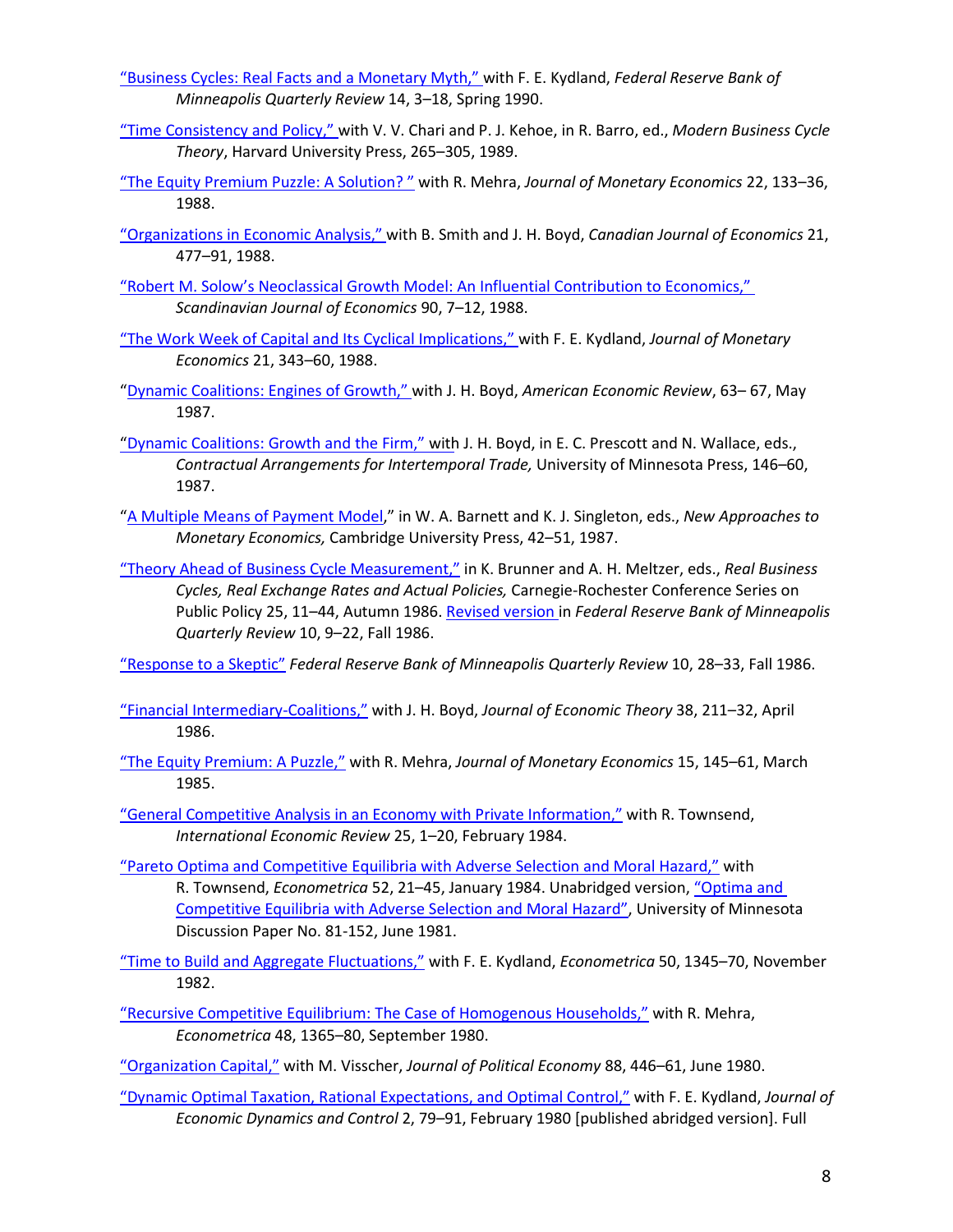- ["Business Cycles: Real Facts and a Monetary Myth," w](http://casee.asu.edu/upload/Prescott/1990-Kydland-FRBMQR-Business%20Cycles%20Real%20Facts%20and%20Monetary%20Myth.pdf)ith F. E. Kydland, *Federal Reserve Bank of Minneapolis Quarterly Review* 14, 3–18, Spring 1990.
- ["Time Consistency and Policy," w](http://casee.asu.edu/upload/Prescott/1988-Chari%2C%20Kehoe-Time%20Consistency%20and%20Policy%20PAPER%20SUBMITTED%20FOR%20publication%20Harvard%20University%20Press.pdf)ith V. V. Chari and P. J. Kehoe, in R. Barro, ed., *Modern Business Cycle Theory*, Harvard University Press, 265–305, 1989.
- ["The Equity Premium Puzzle: A Solution? "](http://casee.asu.edu/upload/Prescott/1988-Mehra-JME-The%20Equity%20Premium%20Puzzle%20SOLUTION.pdf) with R. Mehra, *Journal of Monetary Economics* 22, 133–36, 1988.
- ["Organizations in Economic Analysis,"](http://casee.asu.edu/upload/Prescott/1988-Smith%20Boyd-CJE-Organizations%20in%20Economics.pdf) with B. Smith and J. H. Boyd, *Canadian Journal of Economics* 21, 477–91, 1988.
- ["Robert M. Solow's Neoclassical Growth Model: An Influential Contribution to Economics,"](http://casee.asu.edu/upload/Prescott/1988-SJE-Robert%20Solow%27s%20Neoclassical%20Growth%20Model-Influential%20Contribution%20to%20Economics.pdf)  *Scandinavian Journal of Economics* 90, 7–12, 1988.
- ["The Work Week of Capital and Its Cyclical Implications," w](http://casee.asu.edu/upload/Prescott/1988-Kydland-JME-The%20Work%20Week%20Capital%20and%20Cyclical%20Implications.pdf)ith F. E. Kydland, *Journal of Monetary Economics* 21, 343–60, 1988.
- ["Dynamic Coalitions: Engines of Growth,"](http://casee.asu.edu/upload/Prescott/1987-Boyd-AER-Dynamic%20Coalitions%20Engines%20of%20Growth.pdf) with J. H. Boyd, *American Economic Review*, 63– 67, May 1987.
- ["Dynamic Coalitions: Growth and the Firm,"](http://casee.asu.edu/upload/Prescott/1987-Boyd-CAIT-Dynamic%20Coalitions%20Growth%20and%20the%20Firm%20including%20ADDENDUM.pdf) with J. H. Boyd, in E. C. Prescott and N. Wallace, eds., *Contractual Arrangements for Intertemporal Trade,* University of Minnesota Press, 146–60, 1987.
- ["A Multiple Means of Payment Model,](http://casee.asu.edu/upload/Prescott/1987-NAME-A%20multiple%20means%20of%20payment%20model.pdf)" in W. A. Barnett and K. J. Singleton, eds., *New Approaches to Monetary Economics,* Cambridge University Press, 42–51, 1987.
- ["Theory Ahead of Business Cycle Measurement,"](http://casee.asu.edu/upload/Prescott/1986-RBCRERAP-Theory%20Ahead%20of%20Business%20Cycle%20Measurement.pdf) in K. Brunner and A. H. Meltzer, eds., *Real Business Cycles, Real Exchange Rates and Actual Policies,* Carnegie-Rochester Conference Series on Public Policy 25, 11–44, Autumn 1986[. Revised version i](http://casee.asu.edu/upload/Prescott/1986-FRBMQR-Theory%20Ahead%20of%20Business%20Cycle%20Measurement.pdf)n *Federal Reserve Bank of Minneapolis Quarterly Review* 10, 9–22, Fall 1986.

["Response to a Skeptic"](http://casee.asu.edu/upload/Prescott/1986-FRBMQR-Response%20to%20a%20Skeptic.pdf) *Federal Reserve Bank of Minneapolis Quarterly Review* 10, 28–33, Fall 1986.

- ["Financial Intermediary-Coalitions,"](http://casee.asu.edu/upload/Prescott/1986-Boyd-JET-Financial%20Intermediary%20Coalitions.pdf) with J. H. Boyd, *Journal of Economic Theory* 38, 211–32, April 1986.
- ["The Equity Premium: A Puzzle,"](http://casee.asu.edu/upload/Prescott/1985-Mehra-JME-The%20Equity%20Premium%20Puzzle.pdf) with R. Mehra, *Journal of Monetary Economics* 15, 145–61, March 1985.
- ["General Competitive Analysis in an Economy with Private Information,"](http://casee.asu.edu/upload/Prescott/1984-Townsend-IER-General%20Competitive%20Analysis%20in%20an%20Economy%20with%20Private%20Info.pdf) with R. Townsend, *International Economic Review* 25, 1–20, February 1984.
- ["Pareto Optima and Competitive Equilibria with Adverse Selection and Moral Hazard,"](http://casee.asu.edu/upload/Prescott/1984-Townsend-ECONOMETRICA-Pareto%20Optima%20and%20Competitive%20Equilibria%20with%20Adverse%20Selection%20and%20Moral%20Hazard.pdf) with R. Townsend, *Econometrica* 52, 21–45, January 1984. Unabridged version, "Optima and [Competitive Equilibria with Adverse Selection and Moral Hazard",](http://casee.asu.edu/upload/Prescott/1981-Townsend-Optima%20and%20Competitve%20Equilibria%20with%20Adverse%20Selection%20and%20Moral%20Hazard%20DP81-152.pdf) University of Minnesota Discussion Paper No. 81-152, June 1981.
- ["Time to Build and Aggregate Fluctuations,"](http://casee.asu.edu/upload/Prescott/1982-Kydland-ECONOMETRICA-Time%20to%20Build%20and%20Aggregate%20Fluctuations.pdf) with F. E. Kydland, *Econometrica* 50, 1345–70, November 1982.
- ["Recursive Competitive Equilibrium: The Case of Homogenous Households,"](http://casee.asu.edu/upload/Prescott/1980-Mehra-ECONOMETRICA-Recursive%20Competitive%20Equilibrium%20%20The%20Case%20of%20Homogenous%20Households.pdf) with R. Mehra, *Econometrica* 48, 1365–80, September 1980.

["Organization Capital,"](http://casee.asu.edu/upload/Prescott/1980-Visscher-JPE-Organization%20Capital.pdf) with M. Visscher, *Journal of Political Economy* 88, 446–61, June 1980.

["Dynamic Optimal Taxation, Rational Expectations, and Optimal Control,"](http://casee.wpcarey.asu.edu/upload/Prescott/1980-Kydland-JEDC-Dynamic%20Optimal%20Taxation%20Rational%20Expectations%20Optimal%20Control.pdf) with F. E. Kydland, *Journal of Economic Dynamics and Control* 2, 79–91, February 1980 [published abridged version]. Full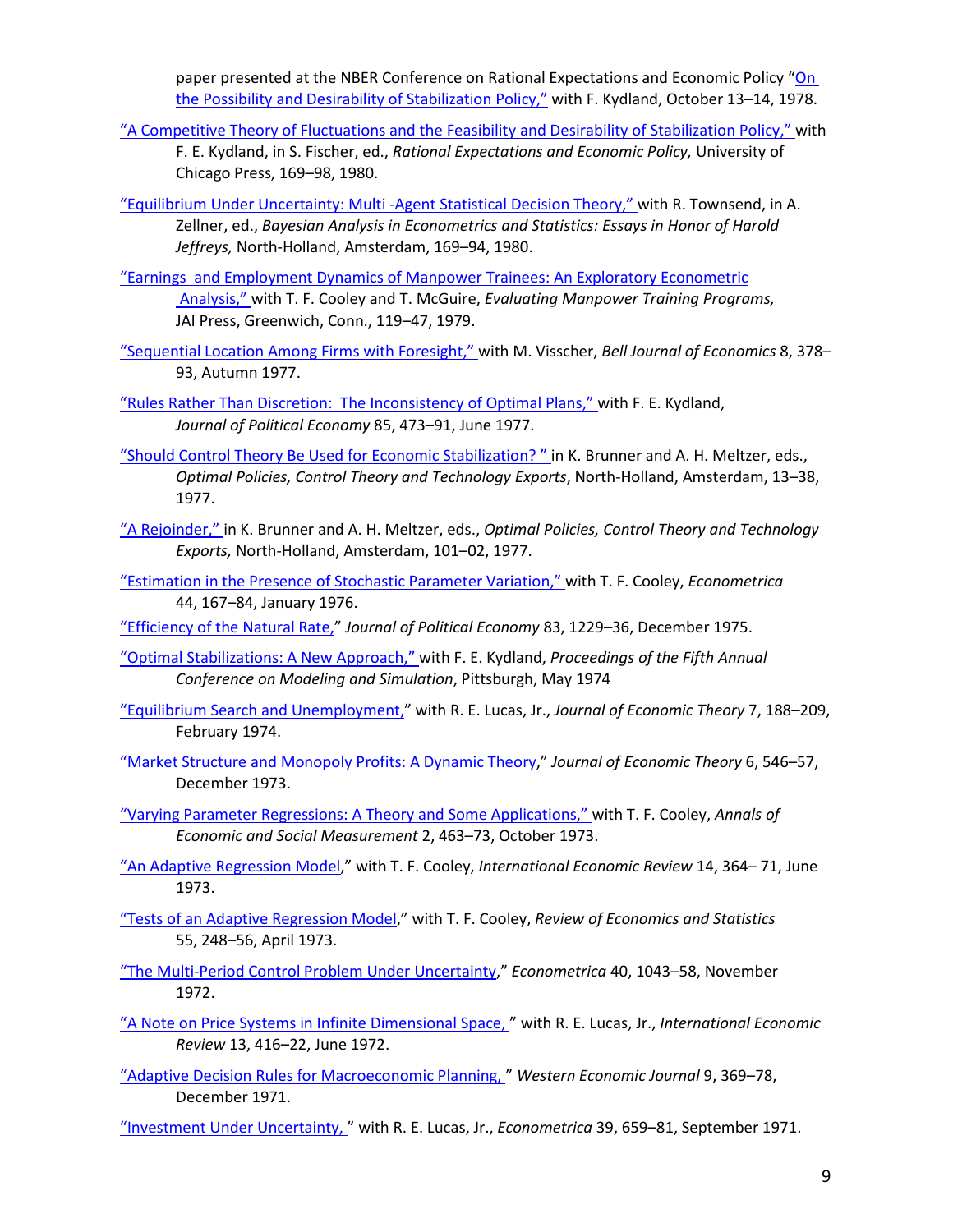paper presented at the NBER Conference on Rational Expectations and Economic Policy ["On](http://casee.asu.edu/upload/Prescott/1978-%20Kydland%20-%20On%20the%20Possibility%20and%20Desirability%20of%20Stabilization%20Policy.pdf)  [the Possibility and Desirability of Stabilization](http://casee.asu.edu/upload/Prescott/1978-%20Kydland%20-%20On%20the%20Possibility%20and%20Desirability%20of%20Stabilization%20Policy.pdf) [Policy,"](http://casee.asu.edu/upload/Prescott/1978-%20Kydland%20-%20On%20the%20Possibility%20and%20Desirability%20of%20Stabilization%20Policy.pdf) with F. Kydland, October 13–14, 1978.

- ["A Competitive Theory of Fluctuations and the Feasibility and Desirability of Stabilization Policy,"](http://casee.asu.edu/upload/Prescott/1980-Kydland-REEP-A%20Competitive%20Theory%20of%20Fluctuations%20and%20the%20Feasibility%20and%20Desirability%20of%20Stabilization.pdf) with
	- F. E. Kydland, in S. Fischer, ed., *Rational Expectations and Economic Policy,* University of Chicago Press, 169–98, 1980.
- ["Equilibrium Under Uncertainty: Multi -Agent Statistical Decision Theory," w](http://casee.asu.edu/upload/Prescott/1980-Townsend-BAES-Equilibrium%20Under%20Uncertainty%20Multiagent%20Statistical%20Decision%20Theory%20WITH%20CORRECTION.pdf)ith R. Townsend, in A. Zellner, ed., *Bayesian Analysis in Econometrics and Statistics: Essays in Honor of Harold Jeffreys,* North-Holland, Amsterdam, 169–94, 1980.
- ["Earnings and Employment Dynamics of Manpower Trainees: An Exploratory Econometric](http://casee.asu.edu/upload/Prescott/1979-McGuire%2C%20Cooley%2C%20Prescott%20-%20EMPT-%20Earnings%20and%20Employment%20Dynamics%20of%20Manpower%20Trainees%20%20An%20Exploratory%20Econometric%20Analysis.pdf) [Analysis,"](http://casee.asu.edu/upload/Prescott/1979-McGuire%2C%20Cooley%2C%20Prescott%20-%20EMPT-%20Earnings%20and%20Employment%20Dynamics%20of%20Manpower%20Trainees%20%20An%20Exploratory%20Econometric%20Analysis.pdf) with T. F. Cooley and T. McGuire, *Evaluating Manpower Training Programs,* JAI Press, Greenwich, Conn., 119–47, 1979.
- ["Sequential Location Among Firms with Foresight,"](http://casee.asu.edu/upload/Prescott/1977-Visscher-BJE-Sequential%20Location%20Among%20Firms%20with%20Foresight.pdf) with M. Visscher, *Bell Journal of Economics* 8, 378– 93, Autumn 1977.
- ["Rules Rather Than Discretion: The Inconsistency of Optimal Plans,"](http://casee.asu.edu/upload/Prescott/1977-Kydland-JPE-Rules%20Rather%20than%20Discretion%20The%20Inconsistency%20of%20Optimal%20Plans.pdf) with F. E. Kydland, *Journal of Political Economy* 85, 473–91, June 1977.
- ["Should Control Theory Be Used for Economic Stabilization? " i](http://casee.asu.edu/upload/Prescott/1977-Prescott-JME-Should%20Control%20Theory%20Be%20Used%20for%20Economic%20Stabilization%20A%20Comment.pdf)n K. Brunner and A. H. Meltzer, eds., *Optimal Policies, Control Theory and Technology Exports*, North-Holland, Amsterdam, 13–38, 1977.
- ["A Rejoinder,"](http://casee.asu.edu/upload/Prescott/1977-Prescott-CRCS-Should%20Control%20Theory%20Be%20Used%20for%20Economic%20Stabilization%20A%20Rejoinder.pdf) in K. Brunner and A. H. Meltzer, eds., *Optimal Policies, Control Theory and Technology Exports,* North-Holland, Amsterdam, 101–02, 1977.
- ["Estimation in the Presence of Stochastic Parameter Variation,"](http://casee.asu.edu/upload/Prescott/1976-Cooley-ECONOMETRICA-Estimation%20in%20the%20Presence%20of%20Stochastic%20Parameter%20Variation.pdf) with T. F. Cooley, *Econometrica* 44, 167–84, January 1976.
- ["Efficiency of the Natural Rate,"](http://casee.asu.edu/upload/Prescott/1975-JPE-Efficiency%20of%20the%20Natural%20Rate.pdf) *Journal of Political Economy* 83, 1229–36, December 1975.
- ["Optimal Stabilizations: A New Approach,"](http://casee.asu.edu/upload/Prescott/1974-Kydland-Optimal%20Stablization%20Policy%20%20A%20New%20Formulation.pdf) with F. E. Kydland, *Proceedings of the Fifth Annual Conference on Modeling and Simulation*, Pittsburgh, May 1974
- ["Equilibrium Search and Unemployment,"](http://casee.asu.edu/upload/Prescott/1974-Lucas-JET-Equilibrium%20Search%20and%20Unemployment.pdf) with R. E. Lucas, Jr., *Journal of Economic Theory* 7, 188–209, February 1974.
- ["Market Structure and Monopoly Profits: A Dynamic Theory,](http://casee.asu.edu/upload/Prescott/1973-JET-Market%20Structure%20and%20Monopoly%20Profits%20A%20Dynamic%20Theory.pdf)" *Journal of Economic Theory* 6, 546–57, December 1973.
- ["Varying Parameter Regressions: A Theory and Some Applications,"](http://casee.asu.edu/upload/Prescott/1973-Cooley-AESM-Varying%20Parameter%20Regressions%20A%20Theory%20and%20Some%20Applications.pdf) with T. F. Cooley, *Annals of Economic and Social Measurement* 2, 463–73, October 1973.
- ["An Adaptive Regression Model,](http://casee.asu.edu/upload/Prescott/1973-Cooley-IER-An%20Adaptive%20Regression%20Model.pdf)" with T. F. Cooley, *International Economic Review* 14, 364– 71, June 1973.
- ["Tests of an Adaptive Regression Model,](http://casee.asu.edu/upload/Prescott/1973-Cooley-RES-Tests%20of%20Adaptive%20Regressive%20Model.pdf)" with T. F. Cooley, *Review of Economics and Statistics* 55, 248–56, April 1973.
- ["The Multi-Period Control Problem Under Uncertainty,](http://casee.asu.edu/upload/Prescott/1972-ECONMETRICA-Multiperiod%20Control%20Problem%20under%20Uncertainty.pdf)" *Econometrica* 40, 1043–58, November 1972.
- ["A Note on Price Systems in Infinite Dimensional Space, "](http://casee.asu.edu/upload/Prescott/1972-Lucas-IER-A%20Note%20on%20Price%20Systems%20in%20Infinite%20Dimensional%20Space.pdf) with R. E. Lucas, Jr., *International Economic Review* 13, 416–22, June 1972.
- ["Adaptive Decision Rules for Macroeconomic Planning, "](http://casee.asu.edu/upload/Prescott/1971-WEJ-Adaptive%20Decisions%20Rules%20for%20Macroeconomic%20Planning.pdf) *Western Economic Journal* 9, 369–78, December 1971.
- ["Investment Under Uncertainty, "](http://casee.asu.edu/upload/Prescott/1971-Lucas-ECONOMETRICA-Investment%20Under%20Uncertainty.pdf) with R. E. Lucas, Jr., *Econometrica* 39, 659–81, September 1971.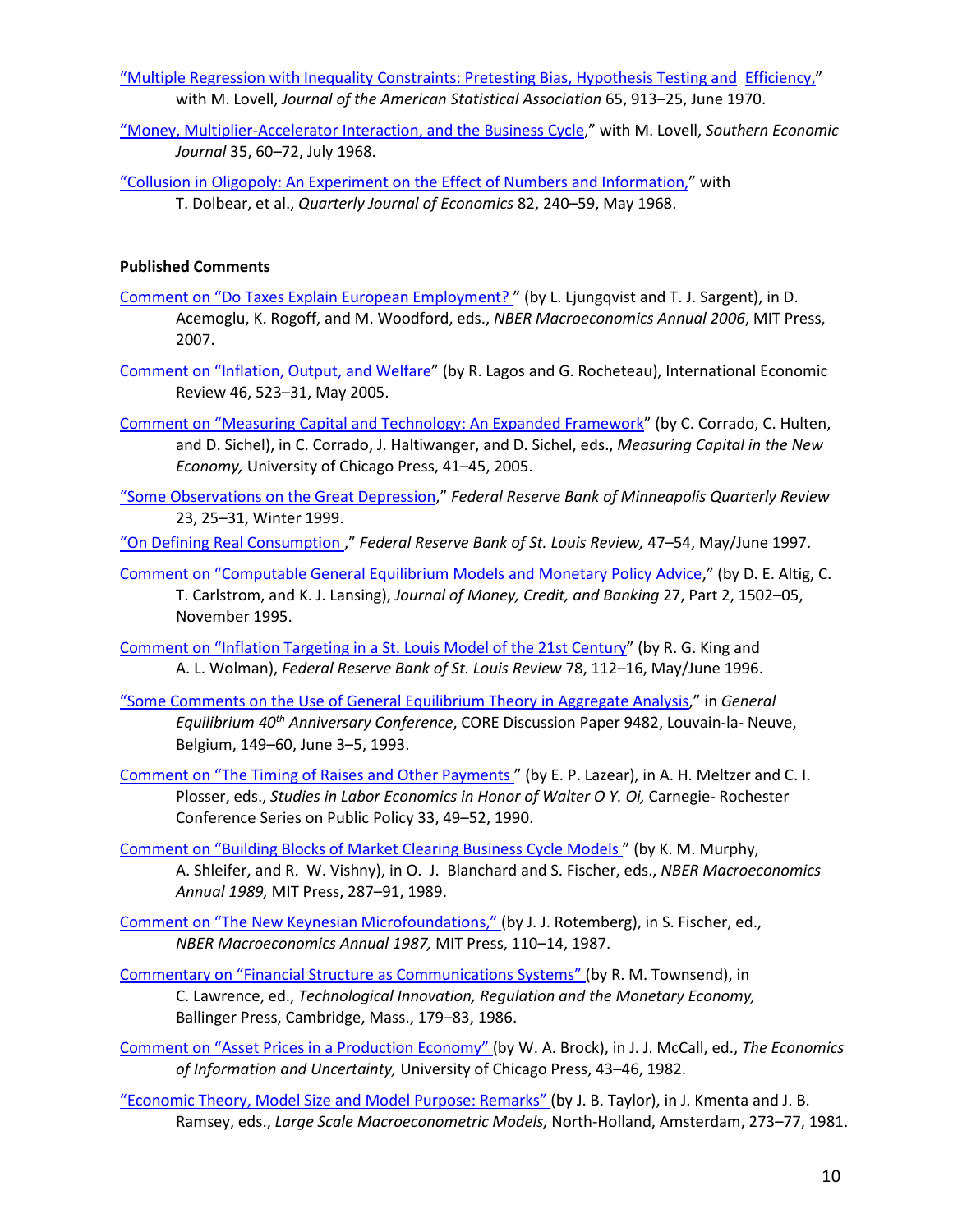["Multiple Regression with Inequality Constraints: Pretesting Bias, Hypothesis Testing and Efficiency,"](http://casee.asu.edu/upload/Prescott/1970-Lovell-JASA-Multiple%20Regression%20with%20Inequality%20Constraints%20Prestesting%20Bias%20Hypothesis%20Testing%20Efficiency.pdf) with M. Lovell, *Journal of the American Statistical Association* 65, 913–25, June 1970.

["Money, Multiplier-Accelerator Interaction, and the Business Cycle,](http://casee.asu.edu/upload/Prescott/1968-Lovell-SEJ-Money%2C%20Multiplier%2C%20Accelerator%20Interaction%20and%20the%20Business%20Cycle.pdf)" with M. Lovell, *Southern Economic Journal* 35, 60–72, July 1968.

["Collusion in Oligopoly: An Experiment on the Effect of Numbers and Information,"](http://casee.asu.edu/upload/Prescott/1968-Dolbear%2C%20Lave%2C%20Bowman%2C%20Lieberman-QJE-Collusion%20in%20Oligopoly%20An%20Experiment%20on%20the%20Effect%20of%20Numbers%20and%20Info.pdf) with T. Dolbear, et al., *Quarterly Journal of Economics* 82, 240–59, May 1968.

## **Published Comments**

- Comment on "Do Taxes Explain European Employment?" (by L. Ljungqvist and T. J. Sargent), in D. Acemoglu, K. Rogoff, and M. Woodford, eds., *NBER Macroeconomics Annual 2006*, MIT Press, 2007.
- [Comment on "Inflation, Output, and Welfare"](http://casee.asu.edu/upload/Prescott/2005-Lagos%20Rocheteau-IER-Inflation%2C%20Output%20and%20Welfare-COMMENT.pdf) (by R. Lagos and G. Rocheteau), International Economic Review 46, 523–31, May 2005.
- [Comment on "Measuring Capital and Technology: An Expanded Framework"](http://casee.asu.edu/upload/Prescott/2005-COMMENT%20on%20Measuring%20Capital%20and%20Technology%20An%20Expanded%20Framework.pdf) (by C. Corrado, C. Hulten, and D. Sichel), in C. Corrado, J. Haltiwanger, and D. Sichel, eds., *Measuring Capital in the New Economy,* University of Chicago Press, 41–45, 2005.
- ["Some Observations on the Great Depression,](http://casee.asu.edu/upload/Prescott/1999-FRBMQR-Some%20Observations%20on%20the%20Great%20Depression.pdf)" *Federal Reserve Bank of Minneapolis Quarterly Review*  23, 25–31, Winter 1999.
- ["On Defining Real Consumption ,](http://casee.asu.edu/upload/Prescott/1997-FRBSLR-On%20Defining%20Real%20Consumption.pdf)" *Federal Reserve Bank of St. Louis Review,* 47–54, May/June 1997.
- [Comment on "Computable General Equilibrium Models and Monetary Policy Advice,](http://casee.asu.edu/upload/Prescott/1995-JMCB-Computable%20General%20Equilibrium%20Models%20and%20Monetary%20Policy-COMMENT.pdf)" (by D. E. Altig, C. T. Carlstrom, and K. J. Lansing), *Journal of Money, Credit, and Banking* 27, Part 2, 1502–05, November 1995.

[Comment on "Inflation Targeting in a St. Louis Model of the 21st Century"](http://casee.asu.edu/upload/Prescott/1996-COMMENT%20on%20Inflation%20Targeting%20in%20a%20St.%20Louis%20Model%20of%20the%2021st%20Century.pdf) (by R. G. King and A. L. Wolman), *Federal Reserve Bank of St. Louis Review* 78, 112–16, May/June 1996.

- ["Some Comments on the Use of General Equilibrium Theory in Aggregate Analysis,](http://casee.asu.edu/upload/Prescott/1993-Some%20Comments%20on%20the%20Use%20of%20General%20Equilibrium%20Theory%20in%20Aggregate%20Analysis-DP9482.pdf)" in *General Equilibrium 40th Anniversary Conference*, CORE Discussion Paper 9482, Louvain-la- Neuve, Belgium, 149–60, June 3–5, 1993.
- [Comment on "The Timing of Raises and Other Payments "](http://casee.asu.edu/upload/Prescott/1990-SLE-The%20Timing%20of%20Raises%20and%20Other%20Payments-COMMENT.pdf) (by E. P. Lazear), in A. H. Meltzer and C. I. Plosser, eds., *Studies in Labor Economics in Honor of Walter O Y. Oi, Carnegie- Rochester* Conference Series on Public Policy 33, 49–52, 1990.
- [Comment on "Building Blocks of Market Clearing Business Cycle Models "](http://casee.asu.edu/upload/Prescott/1989-Comments%20on%20Building%20Blocks%20of%20Market%20Clearing%20Business%20Cycle%20Models.pdf) (by K. M. Murphy, A. Shleifer, and R. W. Vishny), in O. J. Blanchard and S. Fischer, eds., *NBER Macroeconomics Annual 1989,* MIT Press, 287–91, 1989.
- [Comment on "The New Keynesian Microfoundations," \(](http://casee.asu.edu/upload/Prescott/1987-A%20Comment%20on%20the%20The%20New%20Keynesian%20Microfoundations%20UNPUBLISHED.pdf)by J. J. Rotemberg), in S. Fischer, ed., *NBER Macroeconomics Annual 1987,* MIT Press, 110–14, 1987.
- [Commentary on "Financial Structure as Communications Systems"](http://casee.asu.edu/upload/Prescott/1986-TIRME-Commentary%20on%20Financial%20Structure%20as%20Communications%20Systems.pdf) (by R. M. Townsend), in C. Lawrence, ed., *Technological Innovation, Regulation and the Monetary Economy,* Ballinger Press, Cambridge, Mass., 179–83, 1986.
- [Comment on "Asset Prices in a Production Economy"](http://casee.asu.edu/upload/Prescott/1982-Asset%20Prices%20in%20a%20Production%20Economy-%20COMMENT.pdf) (by W. A. Brock), in J. J. McCall, ed., *The Economics of Information and Uncertainty,* University of Chicago Press, 43–46, 1982.
- ["Economic Theory, Model Size and Model Purpose: Remarks"](http://casee.asu.edu/upload/Prescott/1981-LSMM-Economic%20Theory%20Model%20Size%20and%20Model%20Purpose%20REMARKS.pdf) (by J. B. Taylor), in J. Kmenta and J. B. Ramsey, eds., *Large Scale Macroeconometric Models,* North-Holland, Amsterdam, 273–77, 1981.